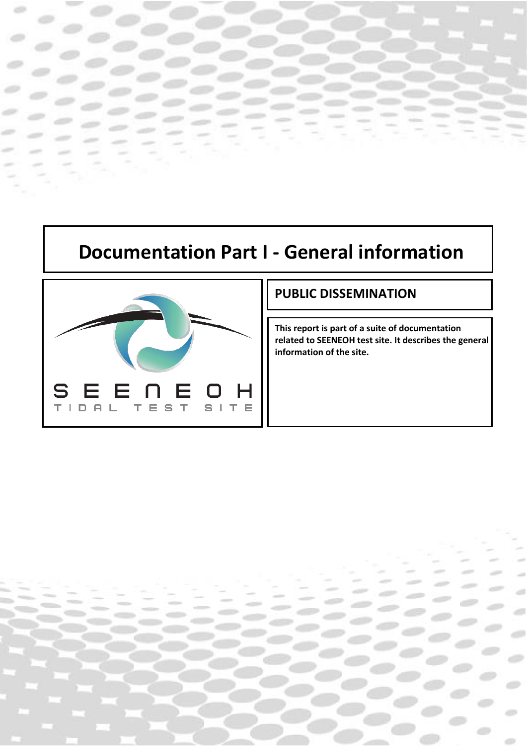# **Documentation Part I - General information**

Documentation 1 | 9



### **PUBLIC DISSEMINATION**

**This report is part of a suite of documentation related to SEENEOH test site. It describes the general information of the site.**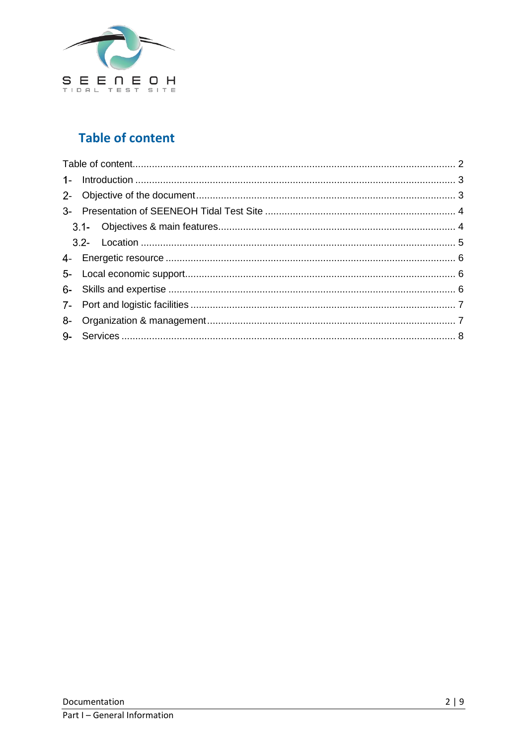

# **Table of content**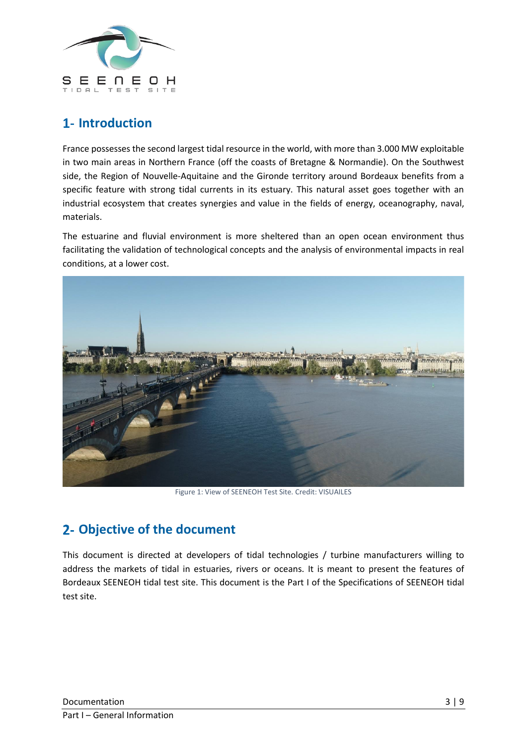

# **Introduction**

France possesses the second largest tidal resource in the world, with more than 3.000 MW exploitable in two main areas in Northern France (off the coasts of Bretagne & Normandie). On the Southwest side, the Region of Nouvelle-Aquitaine and the Gironde territory around Bordeaux benefits from a specific feature with strong tidal currents in its estuary. This natural asset goes together with an industrial ecosystem that creates synergies and value in the fields of energy, oceanography, naval, materials.

The estuarine and fluvial environment is more sheltered than an open ocean environment thus facilitating the validation of technological concepts and the analysis of environmental impacts in real conditions, at a lower cost.



Figure 1: View of SEENEOH Test Site. Credit: VISUAILES

# **Objective of the document**

This document is directed at developers of tidal technologies / turbine manufacturers willing to address the markets of tidal in estuaries, rivers or oceans. It is meant to present the features of Bordeaux SEENEOH tidal test site. This document is the Part I of the Specifications of SEENEOH tidal test site.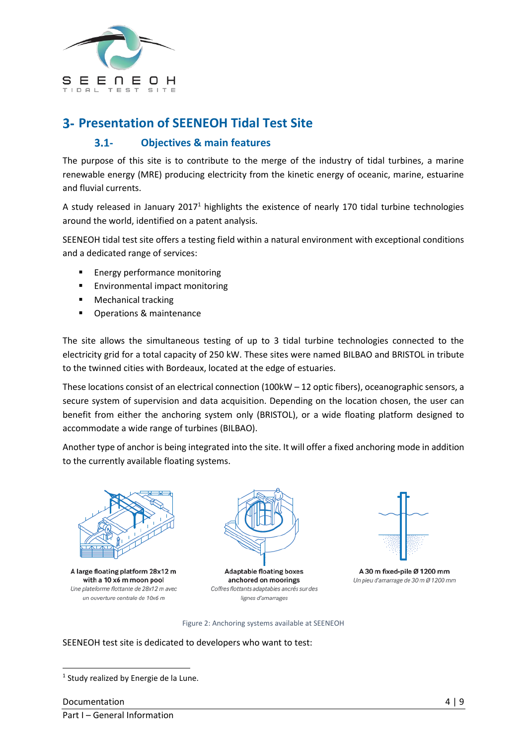

### **Presentation of SEENEOH Tidal Test Site**

#### $3.1 -$ **Objectives & main features**

The purpose of this site is to contribute to the merge of the industry of tidal turbines, a marine renewable energy (MRE) producing electricity from the kinetic energy of oceanic, marine, estuarine and fluvial currents.

A study released in January 2017<sup>1</sup> highlights the existence of nearly 170 tidal turbine technologies around the world, identified on a patent analysis.

SEENEOH tidal test site offers a testing field within a natural environment with exceptional conditions and a dedicated range of services:

- Energy performance monitoring
- Environmental impact monitoring
- Mechanical tracking
- Operations & maintenance

The site allows the simultaneous testing of up to 3 tidal turbine technologies connected to the electricity grid for a total capacity of 250 kW. These sites were named BILBAO and BRISTOL in tribute to the twinned cities with Bordeaux, located at the edge of estuaries.

These locations consist of an electrical connection (100kW – 12 optic fibers), oceanographic sensors, a secure system of supervision and data acquisition. Depending on the location chosen, the user can benefit from either the anchoring system only (BRISTOL), or a wide floating platform designed to accommodate a wide range of turbines (BILBAO).

Another type of anchor is being integrated into the site. It will offer a fixed anchoring mode in addition to the currently available floating systems.



A large floating platform 28x12 m with a 10 x6 m moon pool Une plateforme flottante de 28x12 m avec un ouverture centrale de 10x6 m



**Adaptable floating boxes** anchored on moorings Coffres flottants adaptables ancrés sur des lignes d'amarrages



A 30 m fixed-pile Ø 1200 mm Un pieu d'amarrage de 30 m Ø 1200 mm

Figure 2: Anchoring systems available at SEENEOH

### SEENEOH test site is dedicated to developers who want to test:

<sup>&</sup>lt;sup>1</sup> Study realized by Energie de la Lune.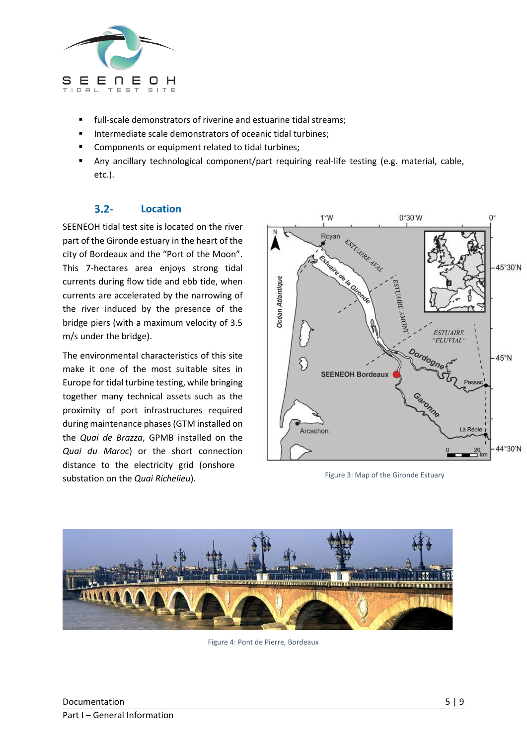

- full-scale demonstrators of riverine and estuarine tidal streams;
- Intermediate scale demonstrators of oceanic tidal turbines;
- Components or equipment related to tidal turbines;
- Any ancillary technological component/part requiring real-life testing (e.g. material, cable, etc.).

#### $3.2 -$ **Location**

SEENEOH tidal test site is located on the river part of the Gironde estuary in the heart of the city of Bordeaux and the "Port of the Moon". This 7-hectares area enjoys strong tidal currents during flow tide and ebb tide, when currents are accelerated by the narrowing of the river induced by the presence of the bridge piers (with a maximum velocity of 3.5 m/s under the bridge).

The environmental characteristics of this site make it one of the most suitable sites in Europe for tidal turbine testing, while bringing together many technical assets such as the proximity of port infrastructures required during maintenance phases (GTM installed on the *Quai de Brazza*, GPMB installed on the *Quai du Maroc*) or the short connection distance to the electricity grid (onshore substation on the *Quai Richelieu*).



Figure 3: Map of the Gironde Estuary



Figure 4: Pont de Pierre, Bordeaux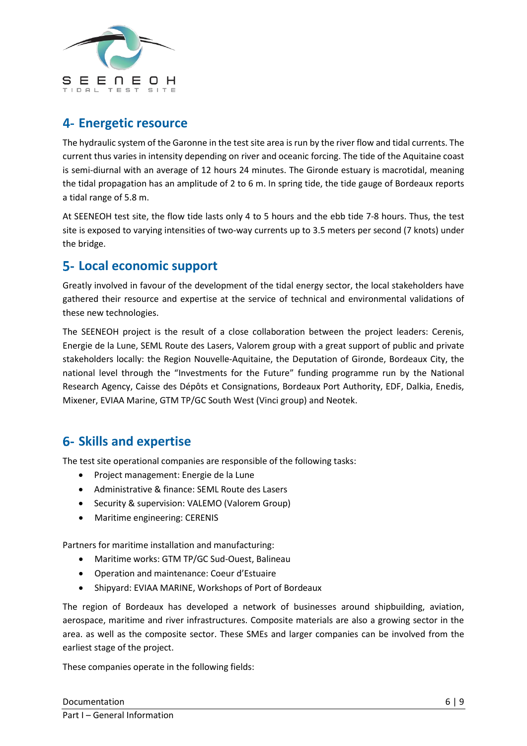

## **Energetic resource**

The hydraulic system of the Garonne in the test site area is run by the river flow and tidal currents. The current thus varies in intensity depending on river and oceanic forcing. The tide of the Aquitaine coast is semi-diurnal with an average of 12 hours 24 minutes. The Gironde estuary is macrotidal, meaning the tidal propagation has an amplitude of 2 to 6 m. In spring tide, the tide gauge of Bordeaux reports a tidal range of 5.8 m.

At SEENEOH test site, the flow tide lasts only 4 to 5 hours and the ebb tide 7-8 hours. Thus, the test site is exposed to varying intensities of two-way currents up to 3.5 meters per second (7 knots) under the bridge.

### **Local economic support**

Greatly involved in favour of the development of the tidal energy sector, the local stakeholders have gathered their resource and expertise at the service of technical and environmental validations of these new technologies.

The SEENEOH project is the result of a close collaboration between the project leaders: Cerenis, Energie de la Lune, SEML Route des Lasers, Valorem group with a great support of public and private stakeholders locally: the Region Nouvelle-Aquitaine, the Deputation of Gironde, Bordeaux City, the national level through the "Investments for the Future" funding programme run by the National Research Agency, Caisse des Dépôts et Consignations, Bordeaux Port Authority, EDF, Dalkia, Enedis, Mixener, EVIAA Marine, GTM TP/GC South West (Vinci group) and Neotek.

# **Skills and expertise**

The test site operational companies are responsible of the following tasks:

- Project management: Energie de la Lune
- Administrative & finance: SEML Route des Lasers
- Security & supervision: VALEMO (Valorem Group)
- Maritime engineering: CERENIS

Partners for maritime installation and manufacturing:

- Maritime works: GTM TP/GC Sud-Ouest, Balineau
- Operation and maintenance: Coeur d'Estuaire
- Shipyard: EVIAA MARINE, Workshops of Port of Bordeaux

The region of Bordeaux has developed a network of businesses around shipbuilding, aviation, aerospace, maritime and river infrastructures. Composite materials are also a growing sector in the area. as well as the composite sector. These SMEs and larger companies can be involved from the earliest stage of the project.

These companies operate in the following fields: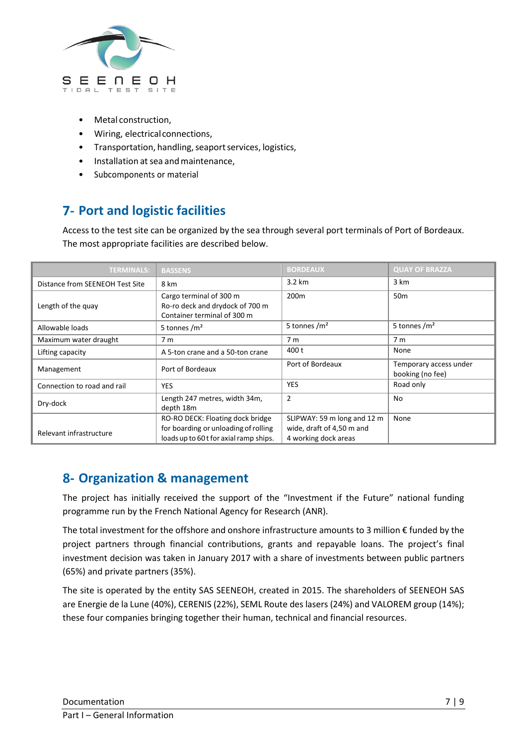

- Metal construction,
- Wiring, electricalconnections,
- Transportation, handling, seaport services, logistics,
- Installation at sea and maintenance.
- Subcomponents or material

# **Port and logistic facilities**

Access to the test site can be organized by the sea through several port terminals of Port of Bordeaux. The most appropriate facilities are described below.

| <b>TERMINALS:</b>               | <b>BASSENS</b>                                                                                                     | <b>BORDEAUX</b>                                                                  | <b>QUAY OF BRAZZA</b>                      |
|---------------------------------|--------------------------------------------------------------------------------------------------------------------|----------------------------------------------------------------------------------|--------------------------------------------|
| Distance from SEENEOH Test Site | 8 km                                                                                                               | 3.2 km                                                                           | 3 km                                       |
| Length of the quay              | Cargo terminal of 300 m<br>Ro-ro deck and drydock of 700 m<br>Container terminal of 300 m                          | 200 <sub>m</sub>                                                                 | 50 <sub>m</sub>                            |
| Allowable loads                 | 5 tonnes $/m2$                                                                                                     | 5 tonnes $\rm /m^2$                                                              | 5 tonnes $/m2$                             |
| Maximum water draught           | 7 <sub>m</sub>                                                                                                     | 7 <sub>m</sub>                                                                   | 7 <sub>m</sub>                             |
| Lifting capacity                | A 5-ton crane and a 50-ton crane                                                                                   | 400 t                                                                            | None                                       |
| Management                      | Port of Bordeaux                                                                                                   | Port of Bordeaux                                                                 | Temporary access under<br>booking (no fee) |
| Connection to road and rail     | <b>YES</b>                                                                                                         | <b>YES</b>                                                                       | Road only                                  |
| Dry-dock                        | Length 247 metres, width 34m,<br>depth 18m                                                                         | $\overline{2}$                                                                   | No                                         |
| Relevant infrastructure         | RO-RO DECK: Floating dock bridge<br>for boarding or unloading of rolling<br>loads up to 60 t for axial ramp ships. | SLIPWAY: 59 m long and 12 m<br>wide, draft of 4,50 m and<br>4 working dock areas | None                                       |

### **Organization & management**

The project has initially received the support of the "Investment if the Future" national funding programme run by the French National Agency for Research (ANR).

The total investment for the offshore and onshore infrastructure amounts to 3 million € funded by the project partners through financial contributions, grants and repayable loans. The project's final investment decision was taken in January 2017 with a share of investments between public partners (65%) and private partners (35%).

The site is operated by the entity SAS SEENEOH, created in 2015. The shareholders of SEENEOH SAS are Energie de la Lune (40%), CERENIS (22%), SEML Route des lasers (24%) and VALOREM group (14%); these four companies bringing together their human, technical and financial resources.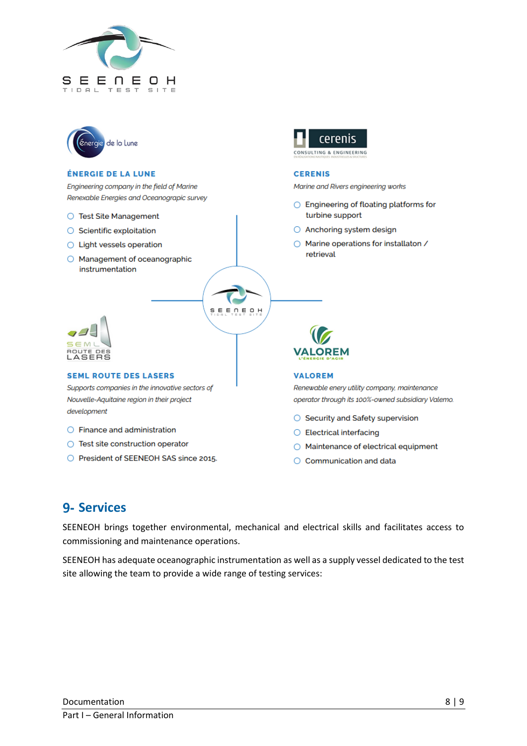



#### **ÉNERGIE DE LA LUNE**

Engineering company in the field of Marine Renexable Energies and Oceanograpic survey

- ◯ Test Site Management
- $\bigcirc$  Scientific exploitation
- Light vessels operation
- O Management of oceanographic instrumentation



#### **SEML ROUTE DES LASERS**

Supports companies in the innovative sectors of Nouvelle-Aquitaine region in their project development

- $\bigcirc$  Finance and administration
- Test site construction operator
- O President of SEENEOH SAS since 2015.



#### **CERENIS**

Marine and Rivers engineering works

- $\bigcirc$  Engineering of floating platforms for turbine support
- Anchoring system design
- Marine operations for installaton / retrieval



#### **VALOREM**

Renewable enery utility company, maintenance operator through its 100%-owned subsidiary Valemo.

- Security and Safety supervision
- $\bigcirc$  Electrical interfacing
- Maintenance of electrical equipment
- $\bigcirc$  Communication and data

### **9- Services**

SEENEOH brings together environmental, mechanical and electrical skills and facilitates access to commissioning and maintenance operations.

SEENEOH

SEENEOH has adequate oceanographic instrumentation as well as a supply vessel dedicated to the test site allowing the team to provide a wide range of testing services: